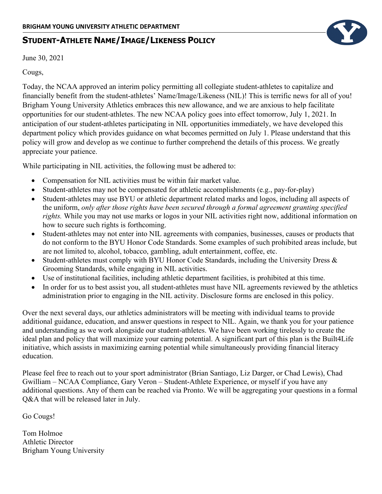## **STUDENT-ATHLETE NAME/IMAGE/LIKENESS POLICY**

June 30, 2021

## Cougs,

Today, the NCAA approved an interim policy permitting all collegiate student-athletes to capitalize and financially benefit from the student-athletes' Name/Image/Likeness (NIL)! This is terrific news for all of you! Brigham Young University Athletics embraces this new allowance, and we are anxious to help facilitate opportunities for our student-athletes. The new NCAA policy goes into effect tomorrow, July 1, 2021. In anticipation of our student-athletes participating in NIL opportunities immediately, we have developed this department policy which provides guidance on what becomes permitted on July 1. Please understand that this policy will grow and develop as we continue to further comprehend the details of this process. We greatly appreciate your patience.

While participating in NIL activities, the following must be adhered to:

- Compensation for NIL activities must be within fair market value.
- Student-athletes may not be compensated for athletic accomplishments (e.g., pay-for-play)
- Student-athletes may use BYU or athletic department related marks and logos, including all aspects of the uniform, *only after those rights have been secured through a formal agreement granting specified rights.* While you may not use marks or logos in your NIL activities right now, additional information on how to secure such rights is forthcoming.
- Student-athletes may not enter into NIL agreements with companies, businesses, causes or products that do not conform to the BYU Honor Code Standards. Some examples of such prohibited areas include, but are not limited to, alcohol, tobacco, gambling, adult entertainment, coffee, etc.
- Student-athletes must comply with BYU Honor Code Standards, including the University Dress & Grooming Standards, while engaging in NIL activities.
- Use of institutional facilities, including athletic department facilities, is prohibited at this time.
- In order for us to best assist you, all student-athletes must have NIL agreements reviewed by the athletics administration prior to engaging in the NIL activity. Disclosure forms are enclosed in this policy.

Over the next several days, our athletics administrators will be meeting with individual teams to provide additional guidance, education, and answer questions in respect to NIL. Again, we thank you for your patience and understanding as we work alongside our student-athletes. We have been working tirelessly to create the ideal plan and policy that will maximize your earning potential. A significant part of this plan is the Built4Life initiative, which assists in maximizing earning potential while simultaneously providing financial literacy education.

Please feel free to reach out to your sport administrator (Brian Santiago, Liz Darger, or Chad Lewis), Chad Gwilliam – NCAA Compliance, Gary Veron – Student-Athlete Experience, or myself if you have any additional questions. Any of them can be reached via Pronto. We will be aggregating your questions in a formal Q&A that will be released later in July.

Go Cougs!

Tom Holmoe Athletic Director Brigham Young University

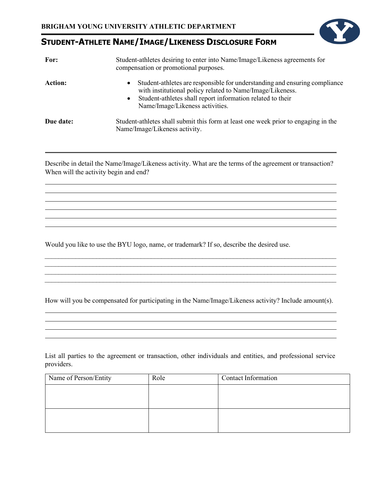## **STUDENT-ATHLETE NAME/IMAGE/LIKENESS DISCLOSURE FORM**

| For:      | Student-athletes desiring to enter into Name/Image/Likeness agreements for<br>compensation or promotional purposes.                                                                                                                                                |  |  |
|-----------|--------------------------------------------------------------------------------------------------------------------------------------------------------------------------------------------------------------------------------------------------------------------|--|--|
| Action:   | Student-athletes are responsible for understanding and ensuring compliance<br>$\bullet$<br>with institutional policy related to Name/Image/Likeness.<br>Student-athletes shall report information related to their<br>$\bullet$<br>Name/Image/Likeness activities. |  |  |
| Due date: | Student-athletes shall submit this form at least one week prior to engaging in the<br>Name/Image/Likeness activity.                                                                                                                                                |  |  |

Describe in detail the Name/Image/Likeness activity. What are the terms of the agreement or transaction? When will the activity begin and end?

Would you like to use the BYU logo, name, or trademark? If so, describe the desired use.

How will you be compensated for participating in the Name/Image/Likeness activity? Include amount(s).

<u> 1989 - Johann Stoff, amerikansk politiker (\* 1908)</u>

 $\_$  , and the set of the set of the set of the set of the set of the set of the set of the set of the set of the set of the set of the set of the set of the set of the set of the set of the set of the set of the set of th  $\overline{\phantom{a}}$  ,  $\overline{\phantom{a}}$  ,  $\overline{\phantom{a}}$  ,  $\overline{\phantom{a}}$  ,  $\overline{\phantom{a}}$  ,  $\overline{\phantom{a}}$  ,  $\overline{\phantom{a}}$  ,  $\overline{\phantom{a}}$  ,  $\overline{\phantom{a}}$  ,  $\overline{\phantom{a}}$  ,  $\overline{\phantom{a}}$  ,  $\overline{\phantom{a}}$  ,  $\overline{\phantom{a}}$  ,  $\overline{\phantom{a}}$  ,  $\overline{\phantom{a}}$  ,  $\overline{\phantom{a}}$  $\mathcal{L}_\text{max}$  , and the contribution of the contribution of the contribution of the contribution of the contribution of the contribution of the contribution of the contribution of the contribution of the contribution of t  $\_$  , and the set of the set of the set of the set of the set of the set of the set of the set of the set of the set of the set of the set of the set of the set of the set of the set of the set of the set of the set of th

and the control of the control of the control of the control of the control of the control of the control of the

List all parties to the agreement or transaction, other individuals and entities, and professional service providers.

| Name of Person/Entity | Role | Contact Information |
|-----------------------|------|---------------------|
|                       |      |                     |
|                       |      |                     |
|                       |      |                     |
|                       |      |                     |